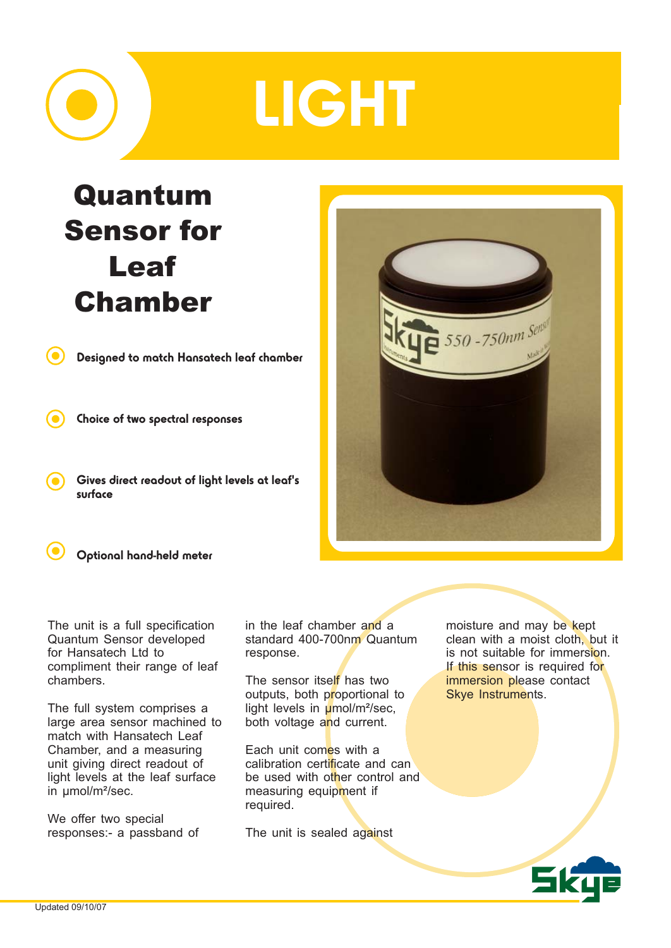## LIGHT

## Quantum Sensor for Leaf Chamber

Designed to match Hansatech leaf chamber

Choice of two spectral responses

Gives direct readout of light levels at leaf's surface





The unit is a full specification Quantum Sensor developed for Hansatech Ltd to compliment their range of leaf chambers.

The full system comprises a large area sensor machined to match with Hansatech Leaf Chamber, and a measuring unit giving direct readout of light levels at the leaf surface in umol/m<sup>2</sup>/sec.

We offer two special responses:- a passband of in the leaf chamber and a standard 400-700nm Quantum response.

The sensor itself has two outputs, both proportional to light levels in  $\mu$ mol/m<sup>2</sup>/sec, both voltage and current.

Each unit comes with a calibration certificate and can be used with other control and measuring equipment if required.

The unit is sealed against

moisture and may be kept clean with a moist cloth, but it is not suitable for immersion. If this sensor is required for immersion please contact Skye Instruments.